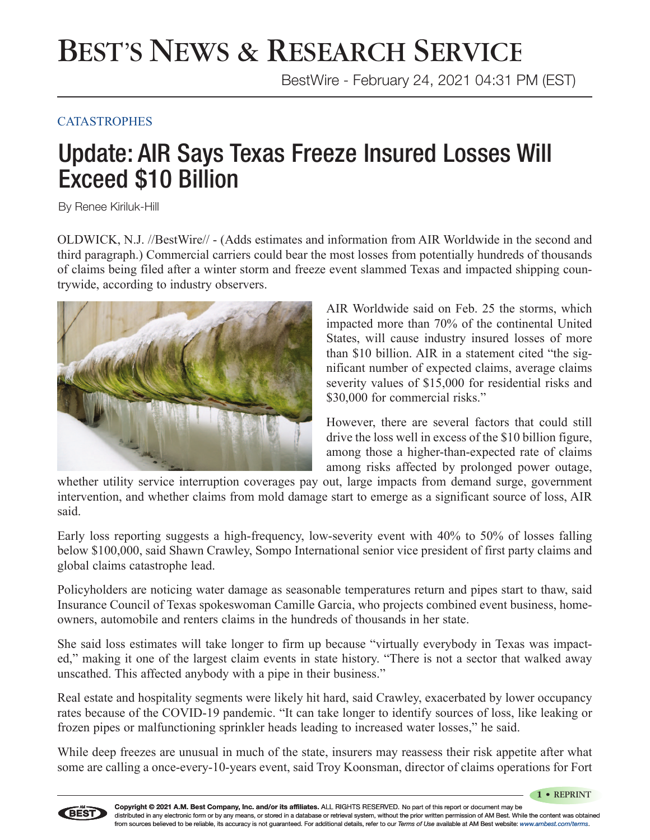### BEST'S NEWS & RESEARCH SERVICE

BestWire - February 24, 2021 04:31 PM (EST)

#### **CATASTROPHES**

### Update: AIR Says Texas Freeze Insured Losses Will Exceed \$10 Billion

By Renee Kiriluk-Hill

OLDWICK, N.J. //BestWire// - (Adds estimates and information from AIR Worldwide in the second and third paragraph.) Commercial carriers could bear the most losses from potentially hundreds of thousands of claims being filed after a winter storm and freeze event slammed Texas and impacted shipping countrywide, according to industry observers.



AIR Worldwide said on Feb. 25 the storms, which impacted more than 70% of the continental United States, will cause industry insured losses of more than \$10 billion. AIR in a statement cited "the significant number of expected claims, average claims severity values of \$15,000 for residential risks and \$30,000 for commercial risks."

However, there are several factors that could still drive the loss well in excess of the \$10 billion figure, among those a higher-than-expected rate of claims among risks affected by prolonged power outage,

whether utility service interruption coverages pay out, large impacts from demand surge, government intervention, and whether claims from mold damage start to emerge as a significant source of loss, AIR said.

Early loss reporting suggests a high-frequency, low-severity event with 40% to 50% of losses falling below \$100,000, said Shawn Crawley, Sompo International senior vice president of first party claims and global claims catastrophe lead.

Policyholders are noticing water damage as seasonable temperatures return and pipes start to thaw, said Insurance Council of Texas spokeswoman Camille Garcia, who projects combined event business, homeowners, automobile and renters claims in the hundreds of thousands in her state.

She said loss estimates will take longer to firm up because "virtually everybody in Texas was impacted," making it one of the largest claim events in state history. "There is not a sector that walked away unscathed. This affected anybody with a pipe in their business."

Real estate and hospitality segments were likely hit hard, said Crawley, exacerbated by lower occupancy rates because of the COVID-19 pandemic. "It can take longer to identify sources of loss, like leaking or frozen pipes or malfunctioning sprinkler heads leading to increased water losses," he said.

While deep freezes are unusual in much of the state, insurers may reassess their risk appetite after what some are calling a once-every-10-years event, said Troy Koonsman, director of claims operations for Fort

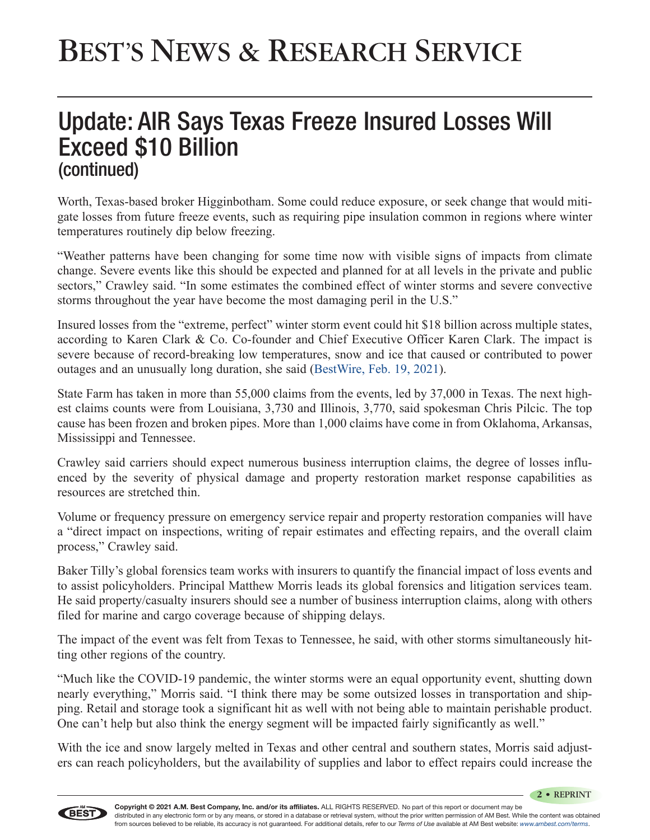# BEST'S NEWS & RESEARCH SERVICE

#### Update: AIR Says Texas Freeze Insured Losses Will Exceed \$10 Billion (continued)

Worth, Texas-based broker Higginbotham. Some could reduce exposure, or seek change that would mitigate losses from future freeze events, such as requiring pipe insulation common in regions where winter temperatures routinely dip below freezing.

"Weather patterns have been changing for some time now with visible signs of impacts from climate change. Severe events like this should be expected and planned for at all levels in the private and public sectors," Crawley said. "In some estimates the combined effect of winter storms and severe convective storms throughout the year have become the most damaging peril in the U.S."

Insured losses from the "extreme, perfect" winter storm event could hit \$18 billion across multiple states, according to Karen Clark & Co. Co-founder and Chief Executive Officer Karen Clark. The impact is severe because of record-breaking low temperatures, snow and ice that caused or contributed to power outages and an unusually long duration, she said [\(BestWire, Feb. 19, 2021\)](http://www.ambest.com/story.asp?sn=231729&_ga=2.168253601.1610655152.1614629866-1461601709.1603200331).

State Farm has taken in more than 55,000 claims from the events, led by 37,000 in Texas. The next highest claims counts were from Louisiana, 3,730 and Illinois, 3,770, said spokesman Chris Pilcic. The top cause has been frozen and broken pipes. More than 1,000 claims have come in from Oklahoma, Arkansas, Mississippi and Tennessee.

Crawley said carriers should expect numerous business interruption claims, the degree of losses influenced by the severity of physical damage and property restoration market response capabilities as resources are stretched thin.

Volume or frequency pressure on emergency service repair and property restoration companies will have a "direct impact on inspections, writing of repair estimates and effecting repairs, and the overall claim process," Crawley said.

Baker Tilly's global forensics team works with insurers to quantify the financial impact of loss events and to assist policyholders. Principal Matthew Morris leads its global forensics and litigation services team. He said property/casualty insurers should see a number of business interruption claims, along with others filed for marine and cargo coverage because of shipping delays.

The impact of the event was felt from Texas to Tennessee, he said, with other storms simultaneously hitting other regions of the country.

"Much like the COVID-19 pandemic, the winter storms were an equal opportunity event, shutting down nearly everything," Morris said. "I think there may be some outsized losses in transportation and shipping. Retail and storage took a significant hit as well with not being able to maintain perishable product. One can't help but also think the energy segment will be impacted fairly significantly as well."

With the ice and snow largely melted in Texas and other central and southern states, Morris said adjusters can reach policyholders, but the availability of supplies and labor to effect repairs could increase the